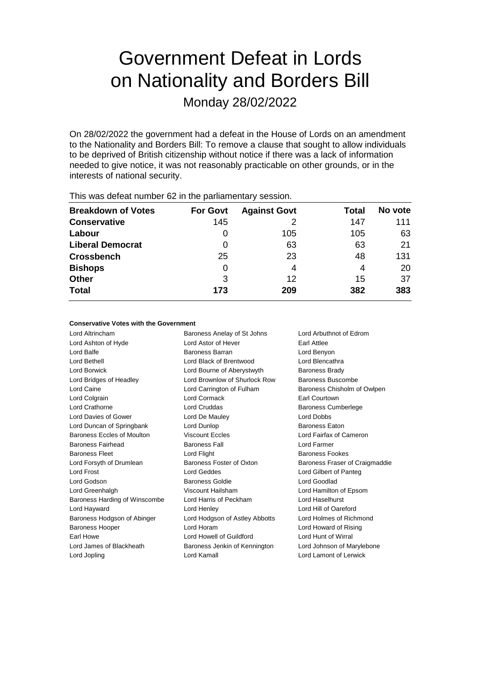# Government Defeat in Lords on Nationality and Borders Bill

Monday 28/02/2022

On 28/02/2022 the government had a defeat in the House of Lords on an amendment to the Nationality and Borders Bill: To remove a clause that sought to allow individuals to be deprived of British citizenship without notice if there was a lack of information needed to give notice, it was not reasonably practicable on other grounds, or in the interests of national security.

| <b>Breakdown of Votes</b> | <b>For Govt</b> | <b>Against Govt</b> | Total | No vote |  |  |  |
|---------------------------|-----------------|---------------------|-------|---------|--|--|--|
| <b>Conservative</b>       | 145             |                     | 147   | 111     |  |  |  |
| Labour                    | O               | 105                 | 105   | 63      |  |  |  |
| <b>Liberal Democrat</b>   | O               | 63                  | 63    | 21      |  |  |  |
| <b>Crossbench</b>         | 25              | 23                  | 48    | 131     |  |  |  |
| <b>Bishops</b>            | 0               | 4                   | 4     | 20      |  |  |  |
| <b>Other</b>              | 3               | 12                  | 15    | 37      |  |  |  |
| <b>Total</b>              | 173             | 209                 | 382   | 383     |  |  |  |
|                           |                 |                     |       |         |  |  |  |

This was defeat number 62 in the parliamentary session.

#### **Conservative Votes with the Government**

Lord Altrincham Baroness Anelay of St Johns Lord Arbuthnot of Edrom Lord Ashton of Hyde Lord Astor of Hever Earl Attlee Lord Balfe **Baroness Barran** Baroness Barran Lord Benyon Lord Bethell Lord Black of Brentwood Lord Blencathra Lord Borwick Lord Bourne of Aberystwyth Baroness Brady Lord Bridges of Headley **Lord Brownlow of Shurlock Row** Baroness Buscombe Lord Caine Lord Carrington of Fulham Baroness Chisholm of Owlpen Lord Colgrain Lord Cormack Earl Courtown Lord Crathorne Lord Cruddas Baroness Cumberlege Lord Davies of Gower Lord De Mauley Lord Dobbs Lord Duncan of Springbank Lord Dunlop Baroness Eaton Baroness Eccles of Moulton Viscount Eccles Lord Fairfax of Cameron Baroness Fairhead Baroness Fall Lord Farmer Baroness Fleet Lord Flight Baroness Fookes Lord Forsyth of Drumlean Baroness Foster of Oxton Baroness Fraser of Craigmaddie Lord Frost Lord Geddes Lord Gilbert of Panteg Lord Godson Baroness Goldie Lord Goodlad Lord Greenhalgh Viscount Hailsham Lord Hamilton of Epsom Baroness Harding of Winscombe Lord Harris of Peckham Lord Haselhurst Lord Hayward **Lord Henley** Cord Henley **Lord Hill of Oareford** Baroness Hodgson of Abinger Lord Hodgson of Astley Abbotts Lord Holmes of Richmond Baroness Hooper Lord Horam Lord Howard of Rising Earl Howe Lord Howell of Guildford Lord Hunt of Wirral Lord James of Blackheath Baroness Jenkin of Kennington Lord Johnson of Marylebone Lord Jopling Lord Kamall Lord Lamont of Lerwick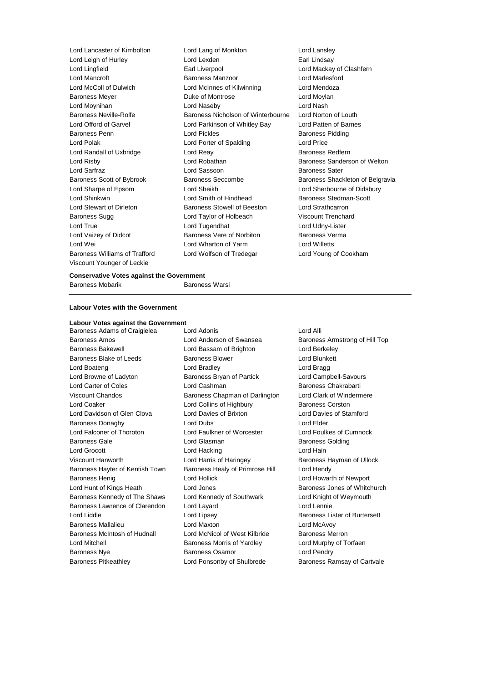Viscount Younger of Leckie

Lord Lancaster of Kimbolton Lord Lang of Monkton Lord Lansley Lord Leigh of Hurley **Lord Lexden** Earl Lindsay Lord Lingfield Earl Liverpool Lord Mackay of Clashfern Lord Mancroft Baroness Manzoor Lord Marlesford Lord McColl of Dulwich Lord McInnes of Kilwinning Lord Mendoza Baroness Meyer **Duke of Montrose Lord Moylan** Lord Moynihan Lord Naseby Lord Nash Baroness Neville-Rolfe **Baroness Nicholson of Winterbourne** Lord Norton of Louth Lord Offord of Garvel Lord Parkinson of Whitley Bay Lord Patten of Barnes Baroness Penn **Communist Communist Communist Communist Communist Communist Communist Communist Communist Communist Communist Communist Communist Communist Communist Communist Communist Communist Communist Communist Communi** Lord Polak **Lord Corporation Corporation** Lord Porter of Spalding **Lord Price** Lord Randall of Uxbridge **Lord Reay Community** Baroness Redfern Lord Risby **Lord Robathan** Baroness Sanderson of Welton **Baroness** Sanderson of Welton Lord Sarfraz Lord Sassoon Baroness Sater Baroness Scott of Bybrook Baroness Seccombe Baroness Shackleton of Belgravia Lord Sharpe of Epsom Lord Sheikh Lord Sherbourne of Didsbury Lord Shinkwin **Lord Smith of Hindhead** Baroness Stedman-Scott Lord Stewart of Dirleton Baroness Stowell of Beeston Lord Strathcarron Baroness Sugg Lord Taylor of Holbeach Viscount Trenchard Lord True Lord Tugendhat Lord Udny-Lister Lord Vaizey of Didcot **Baroness Vere of Norbiton** Baroness Verma Lord Wei Lord Wharton of Yarm Lord Willetts Baroness Williams of Trafford Lord Wolfson of Tredegar Lord Young of Cookham

## **Conservative Votes against the Government**

Baroness Mobarik **Baroness Warsi** 

#### **Labour Votes with the Government**

#### **Labour Votes against the Government**

Baroness Amos **Amos** Lord Anderson of Swansea Baroness Armstrong of Hill Top Baroness Bakewell Lord Bassam of Brighton Lord Berkeley Baroness Blake of Leeds **Baroness Blower** Baroness Blower **Lord Blunkett** Lord Boateng Lord Bradley Lord Bragg Lord Browne of Ladyton Baroness Bryan of Partick Lord Campbell-Savours Lord Carter of Coles **Lord Cashman** Baroness Chakrabarti Viscount Chandos **Baroness Chapman of Darlington** Lord Clark of Windermere Lord Coaker **Lord Collins of Highbury** Baroness Corston Lord Davidson of Glen Clova Lord Davies of Brixton Lord Davies of Stamford Baroness Donaghy **Lord Dubs** Lord Dubs **Lord Elder** Lord Falconer of Thoroton Lord Faulkner of Worcester Lord Foulkes of Cumnock Baroness Gale **Communist Contract Contract Contract Contract Contract Contract Contract Contract Contract Contract Contract Contract Contract Contract Contract Contract Contract Contract Contract Contract Contract Contract** Lord Grocott **Lord Hacking** Lord Hacking Lord Hain Viscount Hanworth **Lord Harris of Haringey** Baroness Hayman of Ullock Baroness Hayter of Kentish Town Baroness Healy of Primrose Hill Lord Hendy Baroness Henig Lord Hollick Lord Howarth of Newport Lord Hunt of Kings Heath Lord Jones Baroness Jones of Whitchurch Baroness Kennedy of The Shaws Lord Kennedy of Southwark Lord Knight of Weymouth Baroness Lawrence of Clarendon Lord Layard Lord Lennie Lord Liddle Lord Lipsey Baroness Lister of Burtersett Baroness Mallalieu Lord Maxton Lord McAvoy Baroness McIntosh of Hudnall Lord McNicol of West Kilbride Baroness Merron Lord Mitchell **Baroness Morris of Yardley Cord Murphy of Torfaen** Baroness Nye **Baroness Osamor** Baroness Osamor **Lord Pendry** 

Baroness Adams of Craigielea Lord Adonis Contract and Alli

Baroness Pitkeathley **Lord Ponsonby of Shulbrede** Baroness Ramsay of Cartvale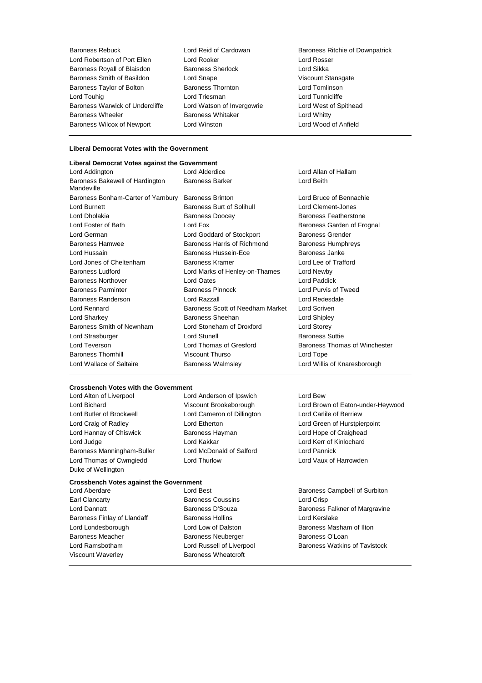Baroness Rebuck **Lord Reid of Cardowan** Baroness Ritchie of Downpatrick Lord Robertson of Port Ellen Lord Rooker Lord Rosser<br>
Baroness Rovall of Blaisdon Baroness Sherlock Lord Sikka Baroness Royall of Blaisdon Baroness Sherlock and Baroness Sherlock Lord Sikka<br>Baroness Smith of Basildon Lord Snape Lord Snape Viscount Stansgate Baroness Smith of Basildon Lord Snape<br>
Baroness Taylor of Bolton Baroness Thornton Baroness Taylor of Bolton **Baroness Thornton** Baroness Thornton **Lord Tomlinson** Lord Touhig Lord Triesman Lord Tunnicliffe Baroness Warwick of Undercliffe Lord Watson of Invergowrie Lord West of Spithead Baroness Wheeler **Baroness Whitaker** Baroness Whitaker **Lord Whitty** Baroness Wilcox of Newport Lord Winston Lord Wood of Anfield

## **Liberal Democrat Votes with the Government**

| Liberal Democrat Votes against the Government |                                  |                               |
|-----------------------------------------------|----------------------------------|-------------------------------|
| Lord Addington                                | Lord Alderdice                   | Lord Allan of Hallam          |
| Baroness Bakewell of Hardington<br>Mandeville | <b>Baroness Barker</b>           | Lord Beith                    |
| Baroness Bonham-Carter of Yarnbury            | <b>Baroness Brinton</b>          | Lord Bruce of Bennachie       |
| Lord Burnett                                  | Baroness Burt of Solihull        | Lord Clement-Jones            |
| Lord Dholakia                                 | <b>Baroness Doocey</b>           | Baroness Featherstone         |
| Lord Foster of Bath                           | Lord Fox                         | Baroness Garden of Frognal    |
| Lord German                                   | Lord Goddard of Stockport        | <b>Baroness Grender</b>       |
| <b>Baroness Hamwee</b>                        | Baroness Harris of Richmond      | <b>Baroness Humphreys</b>     |
| Lord Hussain                                  | Baroness Hussein-Ece             | Baroness Janke                |
| Lord Jones of Cheltenham                      | Baroness Kramer                  | Lord Lee of Trafford          |
| <b>Baroness Ludford</b>                       | Lord Marks of Henley-on-Thames   | Lord Newby                    |
| <b>Baroness Northover</b>                     | Lord Oates                       | Lord Paddick                  |
| <b>Baroness Parminter</b>                     | Baroness Pinnock                 | Lord Purvis of Tweed          |
| Baroness Randerson                            | Lord Razzall                     | Lord Redesdale                |
| Lord Rennard                                  | Baroness Scott of Needham Market | Lord Scriven                  |
| Lord Sharkey                                  | Baroness Sheehan                 | Lord Shipley                  |
| Baroness Smith of Newnham                     | Lord Stoneham of Droxford        | Lord Storey                   |
| Lord Strasburger                              | <b>Lord Stunell</b>              | <b>Baroness Suttie</b>        |
| Lord Teverson                                 | Lord Thomas of Gresford          | Baroness Thomas of Winchester |
| <b>Baroness Thornhill</b>                     | Viscount Thurso                  | Lord Tope                     |
| Lord Wallace of Saltaire                      | <b>Baroness Walmsley</b>         | Lord Willis of Knaresborough  |

### **Crossbench Votes with the Government**

Lord Butler of Brockwell Lord Cameron of Dillington Lord Carlile of Berriew Lord Craig of Radley Lord Etherton Lord Green of Hurstpierpoint Lord Hannay of Chiswick Baroness Hayman Lord Hope of Craighead Lord Judge Lord Kakkar Lord Kerr of Kinlochard Baroness Manningham-Buller Lord McDonald of Salford Lord Pannick Lord Thomas of Cwmgiedd Lord Thurlow Lord Vaux of Harrowden Duke of Wellington

Lord Alton of Liverpool Lord Anderson of Ipswich Lord Bew

#### **Crossbench Votes against the Government**

Earl Clancarty **Baroness Coussins** Lord Crisp Baroness Finlay of Llandaff **Baroness Hollins** Baroness Hollins Lord Kerslake Lord Londesborough Lord Low of Dalston Baroness Masham of Ilton Baroness Meacher **Baroness Neuberger** Baroness O'Loan Viscount Waverley **Baroness Wheatcroft** 

Lord Aberdare **Lord Best Conserversity** Lord Best **Baroness Campbell of Surbiton** 

Lord Bichard Viscount Brookeborough Lord Brown of Eaton-under-Heywood

Lord Dannatt **Baroness D'Souza** Baroness D'Souza Baroness Falkner of Margravine Lord Ramsbotham Lord Russell of Liverpool Baroness Watkins of Tavistock